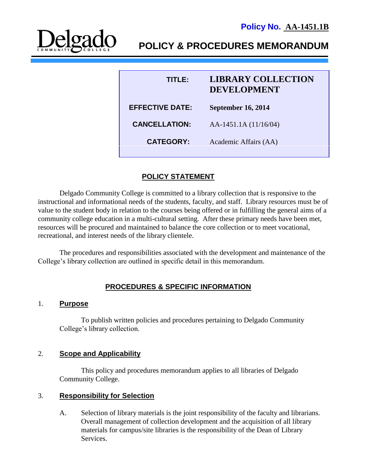# **POLICY & PROCEDURES MEMORANDUM**

| TITLE:                 | <b>LIBRARY COLLECTION</b><br><b>DEVELOPMENT</b> |
|------------------------|-------------------------------------------------|
| <b>EFFECTIVE DATE:</b> | <b>September 16, 2014</b>                       |
| <b>CANCELLATION:</b>   | AA-1451.1A (11/16/04)                           |
| <b>CATEGORY:</b>       | Academic Affairs (AA)                           |
|                        |                                                 |

# **POLICY STATEMENT**

Delgado Community College is committed to a library collection that is responsive to the instructional and informational needs of the students, faculty, and staff. Library resources must be of value to the student body in relation to the courses being offered or in fulfilling the general aims of a community college education in a multi-cultural setting. After these primary needs have been met, resources will be procured and maintained to balance the core collection or to meet vocational, recreational, and interest needs of the library clientele.

The procedures and responsibilities associated with the development and maintenance of the College's library collection are outlined in specific detail in this memorandum.

# **PROCEDURES & SPECIFIC INFORMATION**

#### 1. **Purpose**

To publish written policies and procedures pertaining to Delgado Community College's library collection.

## 2. **Scope and Applicability**

This policy and procedures memorandum applies to all libraries of Delgado Community College.

#### 3. **Responsibility for Selection**

A. Selection of library materials is the joint responsibility of the faculty and librarians. Overall management of collection development and the acquisition of all library materials for campus/site libraries is the responsibility of the Dean of Library Services.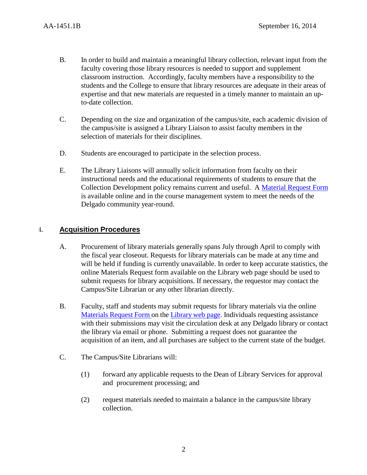- B. In order to build and maintain a meaningful library collection, relevant input from the faculty covering those library resources is needed to support and supplement classroom instruction. Accordingly, faculty members have a responsibility to the students and the College to ensure that library resources are adequate in their areas of expertise and that new materials are requested in a timely manner to maintain an upto-date collection.
- C. Depending on the size and organization of the campus/site, each academic division of the campus/site is assigned a Library Liaison to assist faculty members in the selection of materials for their disciplines.
- D. Students are encouraged to participate in the selection process.
- E. The Library Liaisons will annually solicit information from faculty on their instructional needs and the educational requirements of students to ensure that the Collection Development policy remains current and useful. A [Material Request Form](http://dcc.libguides.com/content.php?pid=162120) is available online and in the course management system to meet the needs of the Delgado community year-round.

## 4. **Acquisition Procedures**

- A. Procurement of library materials generally spans July through April to comply with the fiscal year closeout. Requests for library materials can be made at any time and will be held if funding is currently unavailable. In order to keep accurate statistics, the online Materials Request form available on the Library web page should be used to submit requests for library acquisitions. If necessary, the requestor may contact the Campus/Site Librarian or any other librarian directly.
- B. Faculty, staff and students may submit requests for library materials via the online [Materials](http://dcc.libguides.com/content.php?pid=162120) Request Form on the Library [web page.](http://dcc.libguides.com/library) Individuals requesting assistance with their submissions may visit the circulation desk at any Delgado library or contact the library via email or phone. Submitting a request does not guarantee the acquisition of an item, and all purchases are subject to the current state of the budget.
- C. The Campus/Site Librarians will:
	- (1) forward any applicable requests to the Dean of Library Services for approval and procurement processing; and
	- (2) request materials needed to maintain a balance in the campus/site library collection.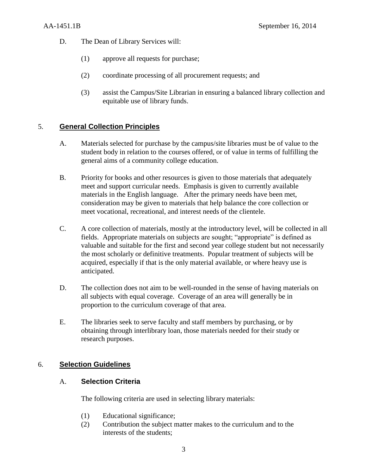- D. The Dean of Library Services will:
	- (1) approve all requests for purchase;
	- (2) coordinate processing of all procurement requests; and
	- (3) assist the Campus/Site Librarian in ensuring a balanced library collection and equitable use of library funds.

# 5. **General Collection Principles**

- A. Materials selected for purchase by the campus/site libraries must be of value to the student body in relation to the courses offered, or of value in terms of fulfilling the general aims of a community college education.
- B. Priority for books and other resources is given to those materials that adequately meet and support curricular needs. Emphasis is given to currently available materials in the English language. After the primary needs have been met, consideration may be given to materials that help balance the core collection or meet vocational, recreational, and interest needs of the clientele.
- C. A core collection of materials, mostly at the introductory level, will be collected in all fields. Appropriate materials on subjects are sought; "appropriate" is defined as valuable and suitable for the first and second year college student but not necessarily the most scholarly or definitive treatments. Popular treatment of subjects will be acquired, especially if that is the only material available, or where heavy use is anticipated.
- D. The collection does not aim to be well-rounded in the sense of having materials on all subjects with equal coverage. Coverage of an area will generally be in proportion to the curriculum coverage of that area.
- E. The libraries seek to serve faculty and staff members by purchasing, or by obtaining through interlibrary loan, those materials needed for their study or research purposes.

# 6. **Selection Guidelines**

## A. **Selection Criteria**

The following criteria are used in selecting library materials:

- (1) Educational significance;
- (2) Contribution the subject matter makes to the curriculum and to the interests of the students;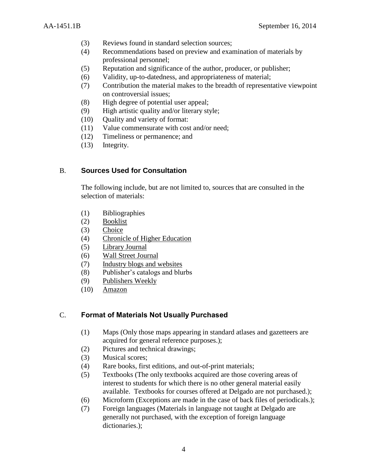- (3) Reviews found in standard selection sources;
- (4) Recommendations based on preview and examination of materials by professional personnel;
- (5) Reputation and significance of the author, producer, or publisher;
- (6) Validity, up-to-datedness, and appropriateness of material;
- (7) Contribution the material makes to the breadth of representative viewpoint on controversial issues;
- (8) High degree of potential user appeal;
- (9) High artistic quality and/or literary style;
- (10) Quality and variety of format:
- (11) Value commensurate with cost and/or need;
- (12) Timeliness or permanence; and
- (13) Integrity.

#### B. **Sources Used for Consultation**

The following include, but are not limited to, sources that are consulted in the selection of materials:

- (1) Bibliographies
- (2) Booklist
- (3) Choice
- (4) Chronicle of Higher Education
- (5) Library Journal
- (6) Wall Street Journal
- (7) Industry blogs and websites
- (8) Publisher's catalogs and blurbs
- (9) Publishers Weekly
- (10) Amazon

#### C. **Format of Materials Not Usually Purchased**

- (1) Maps (Only those maps appearing in standard atlases and gazetteers are acquired for general reference purposes.);
- (2) Pictures and technical drawings;
- (3) Musical scores;
- (4) Rare books, first editions, and out-of-print materials;
- (5) Textbooks (The only textbooks acquired are those covering areas of interest to students for which there is no other general material easily available. Textbooks for courses offered at Delgado are not purchased.);
- (6) Microform (Exceptions are made in the case of back files of periodicals.);
- (7) Foreign languages (Materials in language not taught at Delgado are generally not purchased, with the exception of foreign language dictionaries.);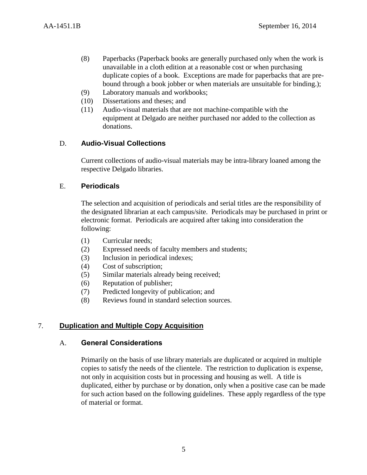- (8) Paperbacks (Paperback books are generally purchased only when the work is unavailable in a cloth edition at a reasonable cost or when purchasing duplicate copies of a book. Exceptions are made for paperbacks that are prebound through a book jobber or when materials are unsuitable for binding.);
- (9) Laboratory manuals and workbooks;
- (10) Dissertations and theses; and
- (11) Audio-visual materials that are not machine-compatible with the equipment at Delgado are neither purchased nor added to the collection as donations.

# D. **Audio-Visual Collections**

Current collections of audio-visual materials may be intra-library loaned among the respective Delgado libraries.

## E. **Periodicals**

The selection and acquisition of periodicals and serial titles are the responsibility of the designated librarian at each campus/site. Periodicals may be purchased in print or electronic format. Periodicals are acquired after taking into consideration the following:

- (1) Curricular needs;
- (2) Expressed needs of faculty members and students;
- (3) Inclusion in periodical indexes;
- (4) Cost of subscription;
- (5) Similar materials already being received;
- (6) Reputation of publisher;
- (7) Predicted longevity of publication; and
- (8) Reviews found in standard selection sources.

# 7. **Duplication and Multiple Copy Acquisition**

## A. **General Considerations**

Primarily on the basis of use library materials are duplicated or acquired in multiple copies to satisfy the needs of the clientele. The restriction to duplication is expense, not only in acquisition costs but in processing and housing as well. A title is duplicated, either by purchase or by donation, only when a positive case can be made for such action based on the following guidelines. These apply regardless of the type of material or format.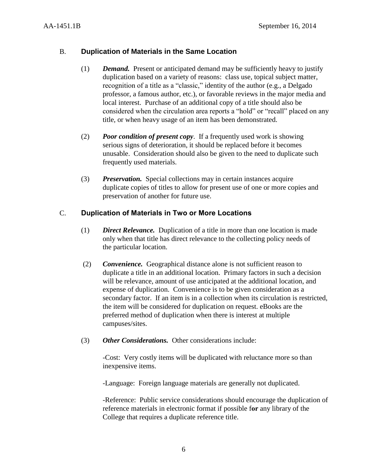## B. **Duplication of Materials in the Same Location**

- (1) *Demand.* Present or anticipated demand may be sufficiently heavy to justify duplication based on a variety of reasons: class use, topical subject matter, recognition of a title as a "classic," identity of the author (e.g., a Delgado professor, a famous author, etc.), or favorable reviews in the major media and local interest. Purchase of an additional copy of a title should also be considered when the circulation area reports a "hold" or "recall" placed on any title, or when heavy usage of an item has been demonstrated.
- (2) *Poor condition of present copy*. If a frequently used work is showing serious signs of deterioration, it should be replaced before it becomes unusable. Consideration should also be given to the need to duplicate such frequently used materials.
- (3) *Preservation.* Special collections may in certain instances acquire duplicate copies of titles to allow for present use of one or more copies and preservation of another for future use.

## C. **Duplication of Materials in Two or More Locations**

- (1) *Direct Relevance.* Duplication of a title in more than one location is made only when that title has direct relevance to the collecting policy needs of the particular location.
- (2) *Convenience.* Geographical distance alone is not sufficient reason to duplicate a title in an additional location. Primary factors in such a decision will be relevance, amount of use anticipated at the additional location, and expense of duplication. Convenience is to be given consideration as a secondary factor. If an item is in a collection when its circulation is restricted, the item will be considered for duplication on request. eBooks are the preferred method of duplication when there is interest at multiple campuses/sites.
- (3) *Other Considerations.* Other considerations include:

-Cost: Very costly items will be duplicated with reluctance more so than inexpensive items.

-Language: Foreign language materials are generally not duplicated.

-Reference: Public service considerations should encourage the duplication of reference materials in electronic format if possible f**or** any library of the College that requires a duplicate reference title.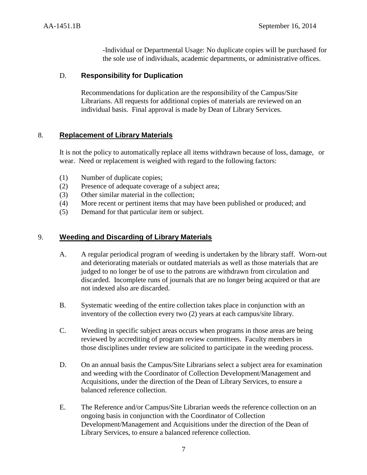-Individual or Departmental Usage: No duplicate copies will be purchased for the sole use of individuals, academic departments, or administrative offices.

#### D. **Responsibility for Duplication**

Recommendations for duplication are the responsibility of the Campus/Site Librarians. All requests for additional copies of materials are reviewed on an individual basis. Final approval is made by Dean of Library Services.

## 8. **Replacement of Library Materials**

It is not the policy to automatically replace all items withdrawn because of loss, damage, or wear. Need or replacement is weighed with regard to the following factors:

- (1) Number of duplicate copies;
- (2) Presence of adequate coverage of a subject area;
- (3) Other similar material in the collection;
- (4) More recent or pertinent items that may have been published or produced; and
- (5) Demand for that particular item or subject.

#### 9. **Weeding and Discarding of Library Materials**

- A. A regular periodical program of weeding is undertaken by the library staff. Worn-out and deteriorating materials or outdated materials as well as those materials that are judged to no longer be of use to the patrons are withdrawn from circulation and discarded. Incomplete runs of journals that are no longer being acquired or that are not indexed also are discarded.
- B. Systematic weeding of the entire collection takes place in conjunction with an inventory of the collection every two (2) years at each campus/site library.
- C. Weeding in specific subject areas occurs when programs in those areas are being reviewed by accrediting of program review committees. Faculty members in those disciplines under review are solicited to participate in the weeding process.
- D. On an annual basis the Campus/Site Librarians select a subject area for examination and weeding with the Coordinator of Collection Development/Management and Acquisitions, under the direction of the Dean of Library Services, to ensure a balanced reference collection.
- E. The Reference and/or Campus/Site Librarian weeds the reference collection on an ongoing basis in conjunction with the Coordinator of Collection Development/Management and Acquisitions under the direction of the Dean of Library Services, to ensure a balanced reference collection.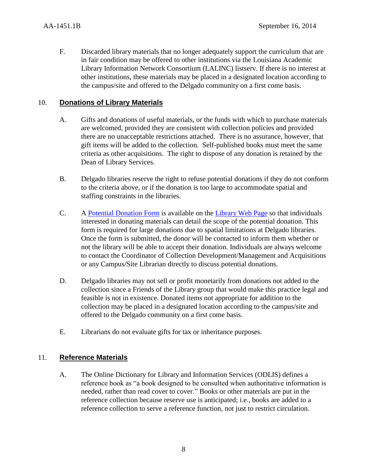F. Discarded library materials that no longer adequately support the curriculum that are in fair condition may be offered to other institutions via the Louisiana Academic Library Information Network Consortium (LALINC) listserv. If there is no interest at other institutions, these materials may be placed in a designated location according to the campus/site and offered to the Delgado community on a first come basis.

## 10. **Donations of Library Materials**

- A. Gifts and donations of useful materials, or the funds with which to purchase materials are welcomed, provided they are consistent with collection policies and provided there are no unacceptable restrictions attached. There is no assurance, however, that gift items will be added to the collection. Self-published books must meet the same criteria as other acquisitions. The right to dispose of any donation is retained by the Dean of Library Services.
- B. Delgado libraries reserve the right to refuse potential donations if they do not conform to the criteria above, or if the donation is too large to accommodate spatial and staffing constraints in the libraries.
- C. A [Potential Donation Form](http://dcc.libguides.com/donationform) is available on the [Library Web Page](http://dcc.libguides.com/content.php?pid=99903&sid=1606096) so that individuals interested in donating materials can detail the scope of the potential donation. This form is required for large donations due to spatial limitations at Delgado libraries. Once the form is submitted, the donor will be contacted to inform them whether or not the library will be able to accept their donation. Individuals are always welcome to contact the Coordinator of Collection Development/Management and Acquisitions or any Campus/Site Librarian directly to discuss potential donations.
- D. Delgado libraries may not sell or profit monetarily from donations not added to the collection since a Friends of the Library group that would make this practice legal and feasible is not in existence. Donated items not appropriate for addition to the collection may be placed in a designated location according to the campus/site and offered to the Delgado community on a first come basis.
- E. Librarians do not evaluate gifts for tax or inheritance purposes.

## 11. **Reference Materials**

A. The Online Dictionary for Library and Information Services (ODLIS) defines a reference book as "a book designed to be consulted when authoritative information is needed, rather than read cover to cover." Books or other materials are put in the reference collection because reserve use is anticipated; i.e., books are added to a reference collection to serve a reference function, not just to restrict circulation.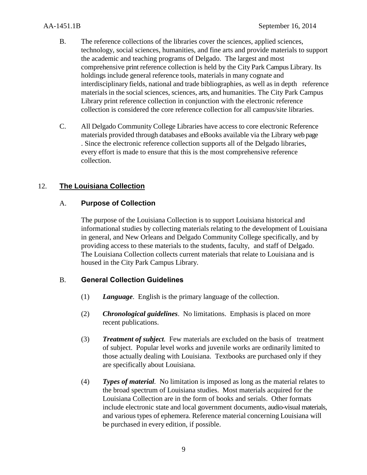- B. The reference collections of the libraries cover the sciences, applied sciences, technology, social sciences, humanities, and fine arts and provide materials to support the academic and teaching programs of Delgado. The largest and most comprehensive print reference collection is held by the City Park Campus Library. Its holdings include general reference tools, materials in many cognate and interdisciplinary fields, national and trade bibliographies, as well as in depth reference materials in the social sciences, sciences, arts, and humanities. The City Park Campus Library print reference collection in conjunction with the electronic reference collection is considered the core reference collection for all campus/site libraries.
- C. All Delgado Community College Libraries have access to core electronic Reference materials provided through databases and eBooks available via the Library web page . Since the electronic reference collection supports all of the Delgado libraries, every effort is made to ensure that this is the most comprehensive reference collection.

# 12. **The Louisiana Collection**

## A. **Purpose of Collection**

The purpose of the Louisiana Collection is to support Louisiana historical and informational studies by collecting materials relating to the development of Louisiana in general, and New Orleans and Delgado Community College specifically, and by providing access to these materials to the students, faculty, and staff of Delgado. The Louisiana Collection collects current materials that relate to Louisiana and is housed in the City Park Campus Library.

## B. **General Collection Guidelines**

- (1) *Language*. English is the primary language of the collection.
- (2) *Chronological guidelines*. No limitations. Emphasis is placed on more recent publications.
- (3) *Treatment of subject.* Few materials are excluded on the basis of treatment of subject. Popular level works and juvenile works are ordinarily limited to those actually dealing with Louisiana. Textbooks are purchased only if they are specifically about Louisiana.
- (4) *Types of material.* No limitation is imposed as long as the material relates to the broad spectrum of Louisiana studies. Most materials acquired for the Louisiana Collection are in the form of books and serials. Other formats include electronic state and local government documents, audio-visual materials, and various types of ephemera. Reference material concerning Louisiana will be purchased in every edition, if possible.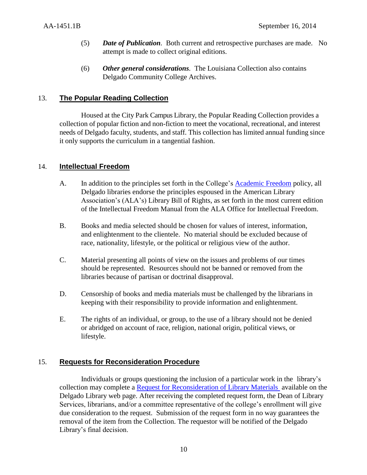- (5) *Date of Publication.* Both current and retrospective purchases are made. No attempt is made to collect original editions.
- (6) *Other general considerations.* The Louisiana Collection also contains Delgado Community College Archives.

## 13. **The Popular Reading Collection**

Housed at the City Park Campus Library, the Popular Reading Collection provides a collection of popular fiction and non-fiction to meet the vocational, recreational, and interest needs of Delgado faculty, students, and staff. This collection has limited annual funding since it only supports the curriculum in a tangential fashion.

#### 14. **Intellectual Freedom**

- A. In addition to the principles set forth in the College's **Academic Freedom** policy, all Delgado libraries endorse the principles espoused in the American Library Association's (ALA's) Library Bill of Rights, as set forth in the most current edition of the Intellectual Freedom Manual from the ALA Office for Intellectual Freedom.
- B. Books and media selected should be chosen for values of interest, information, and enlightenment to the clientele. No material should be excluded because of race, nationality, lifestyle, or the political or religious view of the author.
- C. Material presenting all points of view on the issues and problems of our times should be represented. Resources should not be banned or removed from the libraries because of partisan or doctrinal disapproval.
- D. Censorship of books and media materials must be challenged by the librarians in keeping with their responsibility to provide information and enlightenment.
- E. The rights of an individual, or group, to the use of a library should not be denied or abridged on account of race, religion, national origin, political views, or lifestyle.

#### 15. **Requests for Reconsideration Procedure**

Individuals or groups questioning the inclusion of a particular work in the library's collection may complete a [Request for Reconsideration of Library Materials](http://dcc.libguides.com/reconsideration) available on the Delgado Library web page. After receiving the completed request form, the Dean of Library Services, librarians, and/or a committee representative of the college's enrollment will give due consideration to the request. Submission of the request form in no way guarantees the removal of the item from the Collection. The requestor will be notified of the Delgado Library's final decision.